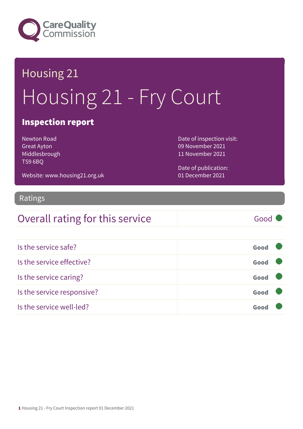

# Housing 21 Housing 21 - Fry Court

### Inspection report

Website: www.housing21.org.uk

Newton Road Great Ayton Middlesbrough TS9 6BQ

Date of inspection visit: 09 November 2021 11 November 2021

Date of publication: 01 December 2021

#### Ratings

### Overall rating for this service Good

| Is the service safe?       | Good |  |
|----------------------------|------|--|
| Is the service effective?  | Good |  |
| Is the service caring?     | Good |  |
| Is the service responsive? | Good |  |
| Is the service well-led?   | Goo  |  |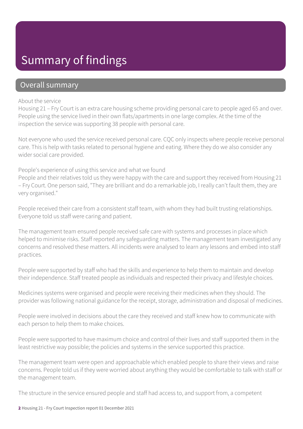### Summary of findings

### Overall summary

#### About the service

Housing 21 – Fry Court is an extra care housing scheme providing personal care to people aged 65 and over. People using the service lived in their own flats/apartments in one large complex. At the time of the inspection the service was supporting 38 people with personal care.

Not everyone who used the service received personal care. CQC only inspects where people receive personal care. This is help with tasks related to personal hygiene and eating. Where they do we also consider any wider social care provided.

People's experience of using this service and what we found

People and their relatives told us they were happy with the care and support they received from Housing 21 – Fry Court. One person said, "They are brilliant and do a remarkable job, I really can't fault them, they are very organised."

People received their care from a consistent staff team, with whom they had built trusting relationships. Everyone told us staff were caring and patient.

The management team ensured people received safe care with systems and processes in place which helped to minimise risks. Staff reported any safeguarding matters. The management team investigated any concerns and resolved these matters. All incidents were analysed to learn any lessons and embed into staff practices.

People were supported by staff who had the skills and experience to help them to maintain and develop their independence. Staff treated people as individuals and respected their privacy and lifestyle choices.

Medicines systems were organised and people were receiving their medicines when they should. The provider was following national guidance for the receipt, storage, administration and disposal of medicines.

People were involved in decisions about the care they received and staff knew how to communicate with each person to help them to make choices.

People were supported to have maximum choice and control of their lives and staff supported them in the least restrictive way possible; the policies and systems in the service supported this practice.

The management team were open and approachable which enabled people to share their views and raise concerns. People told us if they were worried about anything they would be comfortable to talk with staff or the management team.

The structure in the service ensured people and staff had access to, and support from, a competent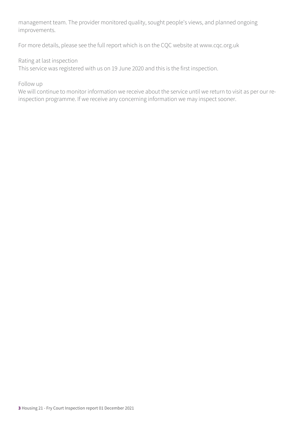management team. The provider monitored quality, sought people's views, and planned ongoing improvements.

For more details, please see the full report which is on the CQC website at www.cqc.org.uk

Rating at last inspection

This service was registered with us on 19 June 2020 and this is the first inspection.

Follow up

We will continue to monitor information we receive about the service until we return to visit as per our reinspection programme. If we receive any concerning information we may inspect sooner.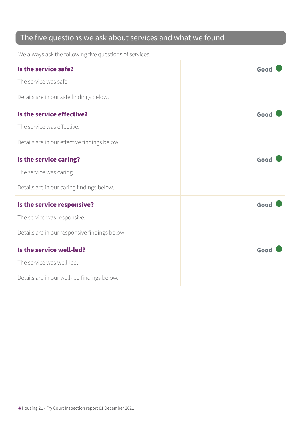### The five questions we ask about services and what we found

We always ask the following five questions of services.

| Is the service safe?                          | Good |
|-----------------------------------------------|------|
| The service was safe.                         |      |
| Details are in our safe findings below.       |      |
| Is the service effective?                     | Good |
| The service was effective.                    |      |
| Details are in our effective findings below.  |      |
| Is the service caring?                        | Good |
| The service was caring.                       |      |
| Details are in our caring findings below.     |      |
| Is the service responsive?                    | Good |
| The service was responsive.                   |      |
| Details are in our responsive findings below. |      |
| Is the service well-led?                      | Good |
| The service was well-led.                     |      |
| Details are in our well-led findings below.   |      |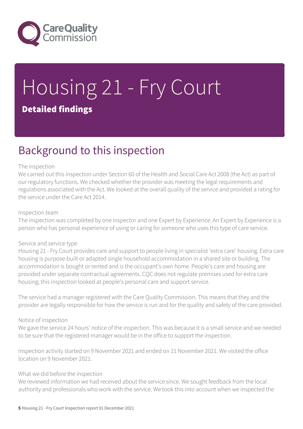

# Housing 21 - Fry Court Detailed findings

### Background to this inspection

#### The inspection

We carried out this inspection under Section 60 of the Health and Social Care Act 2008 (the Act) as part of our regulatory functions. We checked whether the provider was meeting the legal requirements and regulations associated with the Act. We looked at the overall quality of the service and provided a rating for the service under the Care Act 2014.

#### Inspection team

The inspection was completed by one inspector and one Expert by Experience. An Expert by Experience is a person who has personal experience of using or caring for someone who uses this type of care service.

#### Service and service type

Housing 21 - Fry Court provides care and support to people living in specialist 'extra care' housing. Extra care housing is purpose-built or adapted single household accommodation in a shared site or building. The accommodation is bought or rented and is the occupant's own home. People's care and housing are provided under separate contractual agreements. CQC does not regulate premises used for extra care housing; this inspection looked at people's personal care and support service.

The service had a manager registered with the Care Quality Commission. This means that they and the provider are legally responsible for how the service is run and for the quality and safety of the care provided.

#### Notice of inspection

We gave the service 24 hours' notice of the inspection. This was because it is a small service and we needed to be sure that the registered manager would be in the office to support the inspection.

Inspection activity started on 9 November 2021 and ended on 11 November 2021. We visited the office location on 9 November 2021.

#### What we did before the inspection

We reviewed information we had received about the service since. We sought feedback from the local authority and professionals who work with the service. We took this into account when we inspected the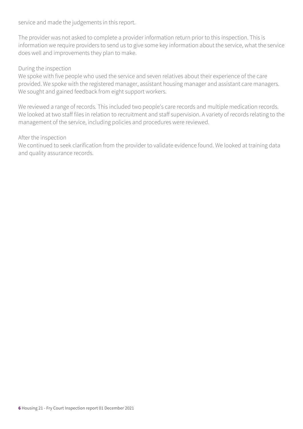service and made the judgements in this report.

The provider was not asked to complete a provider information return prior to this inspection. This is information we require providers to send us to give some key information about the service, what the service does well and improvements they plan to make.

#### During the inspection

We spoke with five people who used the service and seven relatives about their experience of the care provided. We spoke with the registered manager, assistant housing manager and assistant care managers. We sought and gained feedback from eight support workers.

We reviewed a range of records. This included two people's care records and multiple medication records. We looked at two staff files in relation to recruitment and staff supervision. A variety of records relating to the management of the service, including policies and procedures were reviewed.

#### After the inspection

We continued to seek clarification from the provider to validate evidence found. We looked at training data and quality assurance records.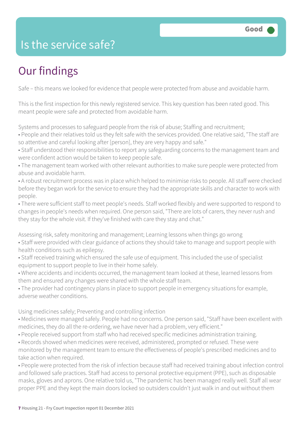### Is the service safe?

# Our findings

Safe – this means we looked for evidence that people were protected from abuse and avoidable harm.

This is the first inspection for this newly registered service. This key question has been rated good. This meant people were safe and protected from avoidable harm.

Systems and processes to safeguard people from the risk of abuse; Staffing and recruitment;

• People and their relatives told us they felt safe with the services provided. One relative said, "The staff are so attentive and careful looking after [person], they are very happy and safe."

• Staff understood their responsibilities to report any safeguarding concerns to the management team and were confident action would be taken to keep people safe.

• The management team worked with other relevant authorities to make sure people were protected from abuse and avoidable harm.

• A robust recruitment process was in place which helped to minimise risks to people. All staff were checked before they began work for the service to ensure they had the appropriate skills and character to work with people.

• There were sufficient staff to meet people's needs. Staff worked flexibly and were supported to respond to changes in people's needs when required. One person said, "There are lots of carers, they never rush and they stay for the whole visit. If they've finished with care they stay and chat."

Assessing risk, safety monitoring and management; Learning lessons when things go wrong

- Staff were provided with clear guidance of actions they should take to manage and support people with health conditions such as epilepsy.
- Staff received training which ensured the safe use of equipment. This included the use of specialist equipment to support people to live in their home safely.
- Where accidents and incidents occurred, the management team looked at these, learned lessons from them and ensured any changes were shared with the whole staff team.

• The provider had contingency plans in place to support people in emergency situations for example, adverse weather conditions.

Using medicines safely; Preventing and controlling infection

- Medicines were managed safely. People had no concerns. One person said, "Staff have been excellent with medicines, they do all the re-ordering, we have never had a problem, very efficient."
- People received support from staff who had received specific medicines administration training.
- Records showed when medicines were received, administered, prompted or refused. These were monitored by the management team to ensure the effectiveness of people's prescribed medicines and to take action when required.

• People were protected from the risk of infection because staff had received training about infection control and followed safe practices. Staff had access to personal protective equipment (PPE), such as disposable masks, gloves and aprons. One relative told us, "The pandemic has been managed really well. Staff all wear proper PPE and they kept the main doors locked so outsiders couldn't just walk in and out without them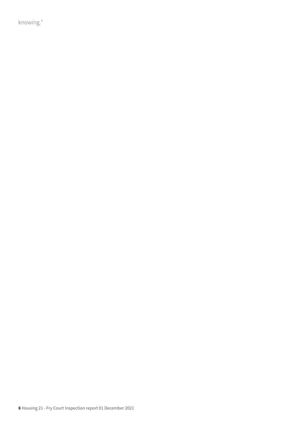knowing."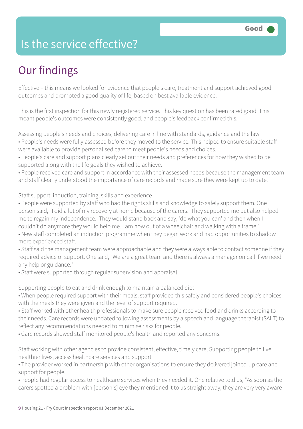### Is the service effective?

# Our findings

Effective – this means we looked for evidence that people's care, treatment and support achieved good outcomes and promoted a good quality of life, based on best available evidence.

This is the first inspection for this newly registered service. This key question has been rated good. This meant people's outcomes were consistently good, and people's feedback confirmed this.

Assessing people's needs and choices; delivering care in line with standards, guidance and the law • People's needs were fully assessed before they moved to the service. This helped to ensure suitable staff were available to provide personalised care to meet people's needs and choices.

• People's care and support plans clearly set out their needs and preferences for how they wished to be supported along with the life goals they wished to achieve.

• People received care and support in accordance with their assessed needs because the management team and staff clearly understood the importance of care records and made sure they were kept up to date.

#### Staff support: induction, training, skills and experience

• People were supported by staff who had the rights skills and knowledge to safely support them. One person said, "I did a lot of my recovery at home because of the carers. They supported me but also helped me to regain my independence. They would stand back and say, 'do what you can' and then when I couldn't do anymore they would help me. I am now out of a wheelchair and walking with a frame." • New staff completed an induction programme when they began work and had opportunities to shadow

- more experienced staff.
- Staff said the management team were approachable and they were always able to contact someone if they required advice or support. One said, "We are a great team and there is always a manager on call if we need any help or guidance."

• Staff were supported through regular supervision and appraisal.

Supporting people to eat and drink enough to maintain a balanced diet

- When people required support with their meals, staff provided this safely and considered people's choices with the meals they were given and the level of support required.
- Staff worked with other health professionals to make sure people received food and drinks according to their needs. Care records were updated following assessments by a speech and language therapist (SALT) to reflect any recommendations needed to minimise risks for people.
- Care records showed staff monitored people's health and reported any concerns.

Staff working with other agencies to provide consistent, effective, timely care; Supporting people to live healthier lives, access healthcare services and support

- The provider worked in partnership with other organisations to ensure they delivered joined-up care and support for people.
- People had regular access to healthcare services when they needed it. One relative told us, "As soon as the carers spotted a problem with [person's] eye they mentioned it to us straight away, they are very very aware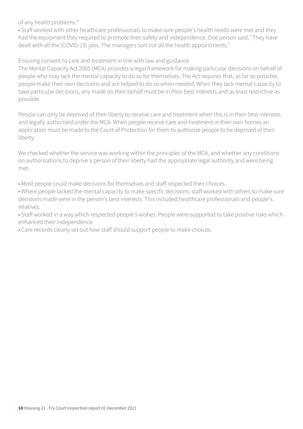of any health problems."

• Staff worked with other healthcare professionals to make sure people's health needs were met and they had the equipment they required to promote their safety and independence. One person said, "They have dealt with all the [COVID-19] jabs. The managers sort out all the health appointments."

Ensuring consent to care and treatment in line with law and guidance

The Mental Capacity Act 2005 (MCA) provides a legal framework for making particular decisions on behalf of people who may lack the mental capacity to do so for themselves. The Act requires that, as far as possible, people make their own decisions and are helped to do so when needed. When they lack mental capacity to take particular decisions, any made on their behalf must be in their best interests and as least restrictive as possible.

People can only be deprived of their liberty to receive care and treatment when this is in their best interests and legally authorised under the MCA. When people receive care and treatment in their own homes an application must be made to the Court of Protection for them to authorise people to be deprived of their liberty.

We checked whether the service was working within the principles of the MCA, and whether any conditions on authorisations to deprive a person of their liberty had the appropriate legal authority and were being met.

• Most people could make decisions for themselves and staff respected their choices.

• Where people lacked the mental capacity to make specific decisions, staff worked with others to make sure decisions made were in the person's best interests. This included healthcare professionals and people's relatives.

• Staff worked in a way which respected people's wishes. People were supported to take positive risks which enhanced their independence.

• Care records clearly set out how staff should support people to make choices.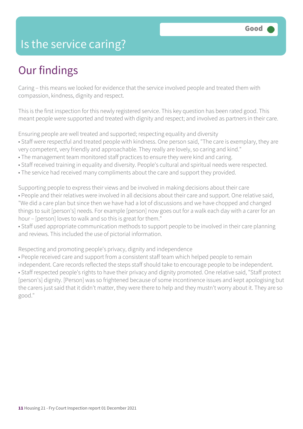### Is the service caring?

## Our findings

Caring – this means we looked for evidence that the service involved people and treated them with compassion, kindness, dignity and respect.

This is the first inspection for this newly registered service. This key question has been rated good. This meant people were supported and treated with dignity and respect; and involved as partners in their care.

Ensuring people are well treated and supported; respecting equality and diversity • Staff were respectful and treated people with kindness. One person said, "The care is exemplary, they are very competent, very friendly and approachable. They really are lovely, so caring and kind."

- The management team monitored staff practices to ensure they were kind and caring.
- Staff received training in equality and diversity. People's cultural and spiritual needs were respected.
- The service had received many compliments about the care and support they provided.

Supporting people to express their views and be involved in making decisions about their care • People and their relatives were involved in all decisions about their care and support. One relative said, "We did a care plan but since then we have had a lot of discussions and we have chopped and changed things to suit [person's] needs. For example [person] now goes out for a walk each day with a carer for an hour – [person] loves to walk and so this is great for them."

• Staff used appropriate communication methods to support people to be involved in their care planning and reviews. This included the use of pictorial information.

Respecting and promoting people's privacy, dignity and independence

• People received care and support from a consistent staff team which helped people to remain independent. Care records reflected the steps staff should take to encourage people to be independent.

• Staff respected people's rights to have their privacy and dignity promoted. One relative said, "Staff protect [person's] dignity. [Person] was so frightened because of some incontinence issues and kept apologising but the carers just said that it didn't matter, they were there to help and they mustn't worry about it. They are so good."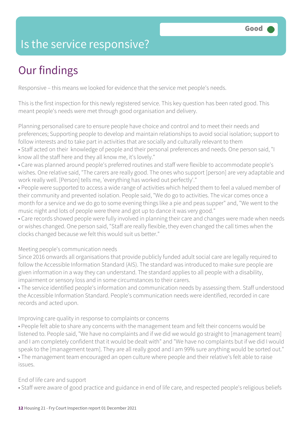### Is the service responsive?

# Our findings

Responsive – this means we looked for evidence that the service met people's needs.

This is the first inspection for this newly registered service. This key question has been rated good. This meant people's needs were met through good organisation and delivery.

Planning personalised care to ensure people have choice and control and to meet their needs and preferences; Supporting people to develop and maintain relationships to avoid social isolation; support to follow interests and to take part in activities that are socially and culturally relevant to them • Staff acted on their knowledge of people and their personal preferences and needs. One person said, "I know all the staff here and they all know me, it's lovely."

• Care was planned around people's preferred routines and staff were flexible to accommodate people's wishes. One relative said, "The carers are really good. The ones who support [person] are very adaptable and work really well. [Person] tells me, 'everything has worked out perfectly'."

• People were supported to access a wide range of activities which helped them to feel a valued member of their community and prevented isolation. People said, "We do go to activities. The vicar comes once a month for a service and we do go to some evening things like a pie and peas supper" and, "We went to the music night and lots of people were there and got up to dance it was very good."

• Care records showed people were fully involved in planning their care and changes were made when needs or wishes changed. One person said, "Staff are really flexible, they even changed the call times when the clocks changed because we felt this would suit us better."

#### Meeting people's communication needs

Since 2016 onwards all organisations that provide publicly funded adult social care are legally required to follow the Accessible Information Standard (AIS). The standard was introduced to make sure people are given information in a way they can understand. The standard applies to all people with a disability, impairment or sensory loss and in some circumstances to their carers.

• The service identified people's information and communication needs by assessing them. Staff understood the Accessible Information Standard. People's communication needs were identified, recorded in care records and acted upon.

Improving care quality in response to complaints or concerns

• People felt able to share any concerns with the management team and felt their concerns would be listened to. People said, "We have no complaints and if we did we would go straight to [management team] and I am completely confident that it would be dealt with" and "We have no complaints but if we did I would speak to the [management team]. They are all really good and I am 99% sure anything would be sorted out." • The management team encouraged an open culture where people and their relative's felt able to raise issues.

#### End of life care and support

• Staff were aware of good practice and guidance in end of life care, and respected people's religious beliefs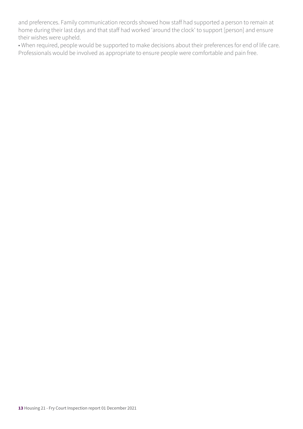and preferences. Family communication records showed how staff had supported a person to remain at home during their last days and that staff had worked 'around the clock' to support [person] and ensure their wishes were upheld.

• When required, people would be supported to make decisions about their preferences for end of life care. Professionals would be involved as appropriate to ensure people were comfortable and pain free.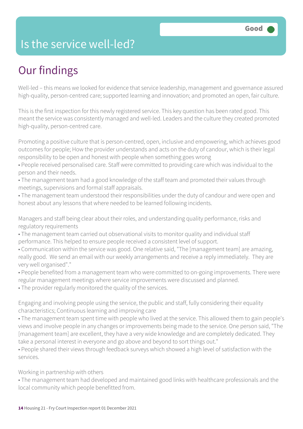### Is the service well-led?

## Our findings

Well-led – this means we looked for evidence that service leadership, management and governance assured high-quality, person-centred care; supported learning and innovation; and promoted an open, fair culture.

This is the first inspection for this newly registered service. This key question has been rated good. This meant the service was consistently managed and well-led. Leaders and the culture they created promoted high-quality, person-centred care.

Promoting a positive culture that is person-centred, open, inclusive and empowering, which achieves good outcomes for people; How the provider understands and acts on the duty of candour, which is their legal responsibility to be open and honest with people when something goes wrong

- People received personalised care. Staff were committed to providing care which was individual to the person and their needs.
- The management team had a good knowledge of the staff team and promoted their values through meetings, supervisions and formal staff appraisals.
- The management team understood their responsibilities under the duty of candour and were open and honest about any lessons that where needed to be learned following incidents.

Managers and staff being clear about their roles, and understanding quality performance, risks and regulatory requirements

- The management team carried out observational visits to monitor quality and individual staff performance. This helped to ensure people received a consistent level of support.
- Communication within the service was good. One relative said, "The [management team] are amazing, really good. We send an email with our weekly arrangements and receive a reply immediately. They are very well organised"."
- People benefited from a management team who were committed to on-going improvements. There were regular management meetings where service improvements were discussed and planned.
- The provider regularly monitored the quality of the services.

Engaging and involving people using the service, the public and staff, fully considering their equality characteristics; Continuous learning and improving care

• The management team spent time with people who lived at the service. This allowed them to gain people's views and involve people in any changes or improvements being made to the service. One person said, "The [management team] are excellent, they have a very wide knowledge and are completely dedicated. They take a personal interest in everyone and go above and beyond to sort things out."

• People shared their views through feedback surveys which showed a high level of satisfaction with the services.

Working in partnership with others

• The management team had developed and maintained good links with healthcare professionals and the local community which people benefitted from.